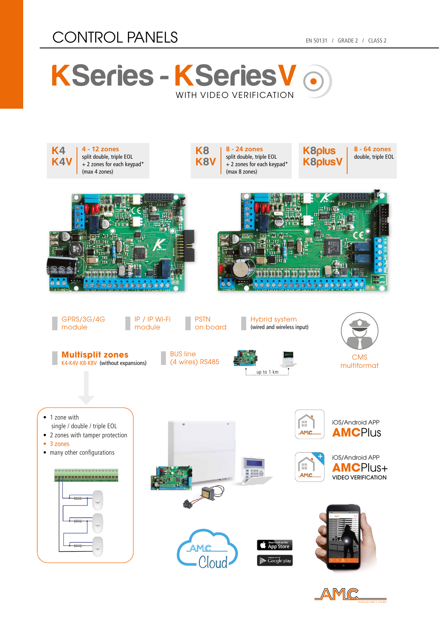## CONTROL PANELS EN 50131 / GRADE 2 / CLASS 2